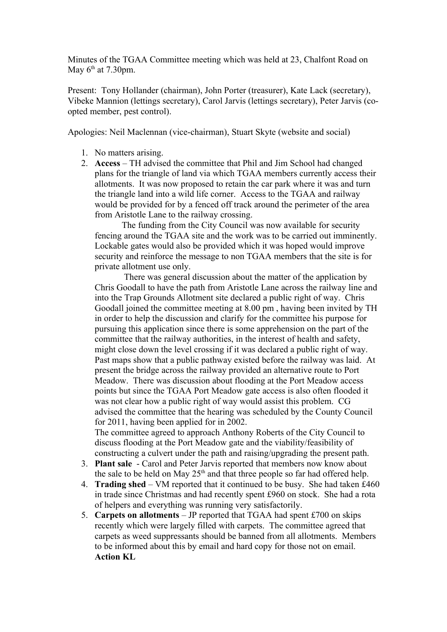Minutes of the TGAA Committee meeting which was held at 23, Chalfont Road on May  $6<sup>th</sup>$  at 7.30pm.

Present: Tony Hollander (chairman), John Porter (treasurer), Kate Lack (secretary), Vibeke Mannion (lettings secretary), Carol Jarvis (lettings secretary), Peter Jarvis (coopted member, pest control).

Apologies: Neil Maclennan (vice-chairman), Stuart Skyte (website and social)

- 1. No matters arising.
- 2. **Access** TH advised the committee that Phil and Jim School had changed plans for the triangle of land via which TGAA members currently access their allotments. It was now proposed to retain the car park where it was and turn the triangle land into a wild life corner. Access to the TGAA and railway would be provided for by a fenced off track around the perimeter of the area from Aristotle Lane to the railway crossing.

The funding from the City Council was now available for security fencing around the TGAA site and the work was to be carried out imminently. Lockable gates would also be provided which it was hoped would improve security and reinforce the message to non TGAA members that the site is for private allotment use only.

 There was general discussion about the matter of the application by Chris Goodall to have the path from Aristotle Lane across the railway line and into the Trap Grounds Allotment site declared a public right of way. Chris Goodall joined the committee meeting at 8.00 pm , having been invited by TH in order to help the discussion and clarify for the committee his purpose for pursuing this application since there is some apprehension on the part of the committee that the railway authorities, in the interest of health and safety, might close down the level crossing if it was declared a public right of way. Past maps show that a public pathway existed before the railway was laid. At present the bridge across the railway provided an alternative route to Port Meadow. There was discussion about flooding at the Port Meadow access points but since the TGAA Port Meadow gate access is also often flooded it was not clear how a public right of way would assist this problem. CG advised the committee that the hearing was scheduled by the County Council for 2011, having been applied for in 2002.

The committee agreed to approach Anthony Roberts of the City Council to discuss flooding at the Port Meadow gate and the viability/feasibility of constructing a culvert under the path and raising/upgrading the present path.

- 3. **Plant sale**  Carol and Peter Jarvis reported that members now know about the sale to be held on May  $25<sup>th</sup>$  and that three people so far had offered help.
- 4. **Trading shed**  VM reported that it continued to be busy. She had taken £460 in trade since Christmas and had recently spent £960 on stock. She had a rota of helpers and everything was running very satisfactorily.
- 5. **Carpets on allotments**  JP reported that TGAA had spent £700 on skips recently which were largely filled with carpets. The committee agreed that carpets as weed suppressants should be banned from all allotments. Members to be informed about this by email and hard copy for those not on email. **Action KL**